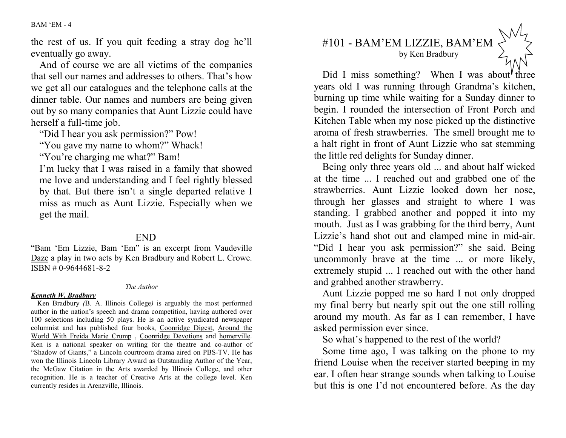BAM 'EM - 4

the rest of us. If you quit feeding a stray dog he'll eventually go away.

 And of course we are all victims of the companies that sell our names and addresses to others. That's how we get all our catalogues and the telephone calls at the dinner table. Our names and numbers are being given out by so many companies that Aunt Lizzie could have herself a full-time job.

"Did I hear you ask permission?" Pow!

"You gave my name to whom?" Whack!

"You're charging me what?" Bam!

I'm lucky that I was raised in a family that showed me love and understanding and I feel rightly blessed by that. But there isn't a single departed relative I miss as much as Aunt Lizzie. Especially when we get the mail.

## END

"Bam 'Em Lizzie, Bam 'Em" is an excerpt from Vaudeville Daze a play in two acts by Ken Bradbury and Robert L. Crowe. ISBN # 0-9644681-8-2

## *The Author*

## *Kenneth W. Bradbury*

 Ken Bradbury *(*B. A. Illinois College*)* is arguably the most performed author in the nation's speech and drama competition, having authored over 100 selections including 50 plays. He is an active syndicated newspaper columnist and has published four books, Coonridge Digest, Around the World With Freida Marie Crump , Coonridge Devotions and homerville. Ken is a national speaker on writing for the theatre and co-author of "Shadow of Giants," a Lincoln courtroom drama aired on PBS-TV. He has won the Illinois Lincoln Library Award as Outstanding Author of the Year, the McGaw Citation in the Arts awarded by Illinois College, and other recognition. He is a teacher of Creative Arts at the college level. Ken currently resides in Arenzville, Illinois.

## #101 - BAM'EM LIZZIE, BAM'EM by Ken Bradbury

Did I miss something? When I was about three years old I was running through Grandma's kitchen, burning up time while waiting for a Sunday dinner to begin. I rounded the intersection of Front Porch and Kitchen Table when my nose picked up the distinctive aroma of fresh strawberries. The smell brought me to a halt right in front of Aunt Lizzie who sat stemming the little red delights for Sunday dinner.

Being only three years old ... and about half wicked at the time ... I reached out and grabbed one of the strawberries. Aunt Lizzie looked down her nose, through her glasses and straight to where I was standing. I grabbed another and popped it into my mouth. Just as I was grabbing for the third berry, Aunt Lizzie's hand shot out and clamped mine in mid-air."Did I hear you ask permission?" she said. Being uncommonly brave at the time ... or more likely, extremely stupid ... I reached out with the other hand and grabbed another strawberry.

Aunt Lizzie popped me so hard I not only dropped my final berry but nearly spit out the one still rolling around my mouth. As far as I can remember, I have asked permission ever since.

So what's happened to the rest of the world?

Some time ago, I was talking on the phone to my friend Louise when the receiver started beeping in my ear. I often hear strange sounds when talking to Louise but this is one I'd not encountered before. As the day